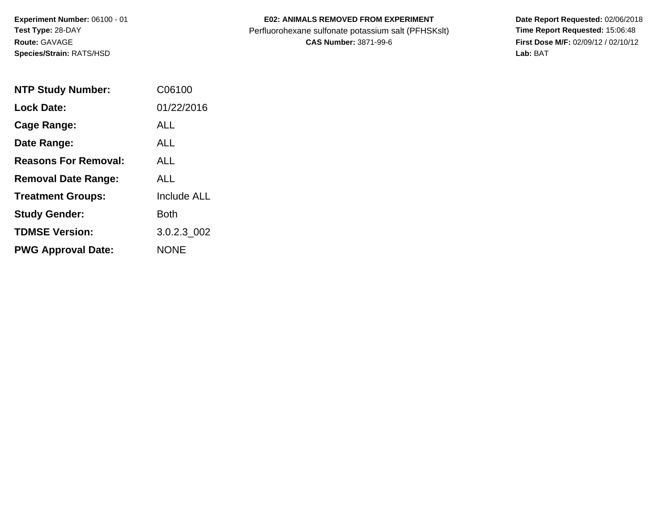**Experiment Number:** 06100 - 01**Test Type:** 28-DAY**Route:** GAVAGE**Species/Strain:** RATS/HSD

## **E02: ANIMALS REMOVED FROM EXPERIMENT**

Perfluorohexane sulfonate potassium salt (PFHSKslt)<br>**CAS Number:** 3871-99-6

| <b>NTP Study Number:</b>    | C06100             |
|-----------------------------|--------------------|
| <b>Lock Date:</b>           | 01/22/2016         |
| Cage Range:                 | ALL                |
| Date Range:                 | AI I               |
| <b>Reasons For Removal:</b> | AI I               |
| <b>Removal Date Range:</b>  | ALL                |
| <b>Treatment Groups:</b>    | <b>Include ALL</b> |
| <b>Study Gender:</b>        | Both               |
| <b>TDMSE Version:</b>       | 3.0.2.3 002        |
| <b>PWG Approval Date:</b>   | <b>NONE</b>        |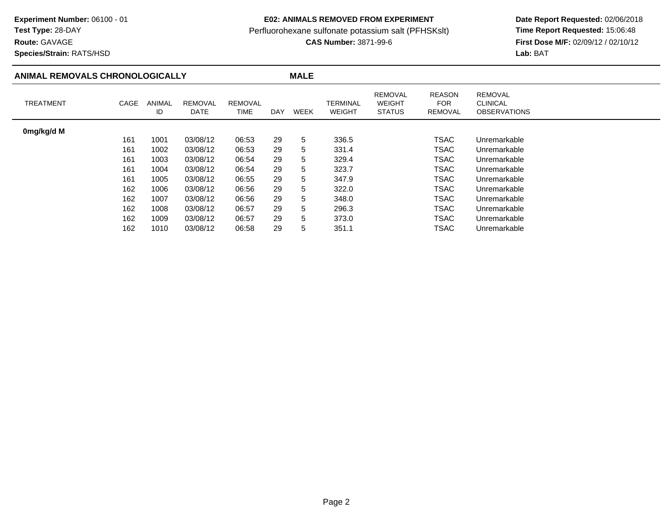## **E02: ANIMALS REMOVED FROM EXPERIMENT**

Perfluorohexane sulfonate potassium salt (PFHSKslt)<br>**CAS Number:** 3871-99-6

 **Date Report Requested:** 02/06/2018 **First Dose M/F:** 02/09/12 / 02/10/12<br>Lab: BAT **Lab:** BAT

**Species/Strain:** RATS/HSD

**Route:** GAVAGE

## **ANIMAL REMOVALS CHRONOLOGICALLY**

| ν<br>- 14 |  |
|-----------|--|
|           |  |

| <b>TREATMENT</b> | CAGE | <b>ANIMAL</b><br>ID | <b>REMOVAL</b><br>DATE | <b>REMOVAL</b><br>TIME | <b>DAY</b> | WEEK | TERMINAL<br><b>WEIGHT</b> | <b>REMOVAL</b><br><b>WEIGHT</b><br><b>STATUS</b> | <b>REASON</b><br><b>FOR</b><br>REMOVAL | <b>REMOVAL</b><br><b>CLINICAL</b><br><b>OBSERVATIONS</b> |
|------------------|------|---------------------|------------------------|------------------------|------------|------|---------------------------|--------------------------------------------------|----------------------------------------|----------------------------------------------------------|
| 0mg/kg/d M       |      |                     |                        |                        |            |      |                           |                                                  |                                        |                                                          |
|                  | 161  | 1001                | 03/08/12               | 06:53                  | 29         | 5    | 336.5                     |                                                  | <b>TSAC</b>                            | Unremarkable                                             |
|                  | 161  | 1002                | 03/08/12               | 06:53                  | 29         | 5    | 331.4                     |                                                  | <b>TSAC</b>                            | Unremarkable                                             |
|                  | 161  | 1003                | 03/08/12               | 06:54                  | 29         | 5    | 329.4                     |                                                  | <b>TSAC</b>                            | Unremarkable                                             |
|                  | 161  | 1004                | 03/08/12               | 06:54                  | 29         | 5    | 323.7                     |                                                  | <b>TSAC</b>                            | Unremarkable                                             |
|                  | 161  | 1005                | 03/08/12               | 06:55                  | 29         | 5    | 347.9                     |                                                  | <b>TSAC</b>                            | Unremarkable                                             |
|                  | 162  | 1006                | 03/08/12               | 06:56                  | 29         | 5    | 322.0                     |                                                  | <b>TSAC</b>                            | Unremarkable                                             |
|                  | 162  | 1007                | 03/08/12               | 06:56                  | 29         | 5    | 348.0                     |                                                  | <b>TSAC</b>                            | Unremarkable                                             |
|                  | 162  | 1008                | 03/08/12               | 06:57                  | 29         | 5    | 296.3                     |                                                  | <b>TSAC</b>                            | Unremarkable                                             |
|                  | 162  | 1009                | 03/08/12               | 06:57                  | 29         | 5    | 373.0                     |                                                  | <b>TSAC</b>                            | Unremarkable                                             |
|                  | 162  | 1010                | 03/08/12               | 06:58                  | 29         | 5    | 351.1                     |                                                  | TSAC                                   | Unremarkable                                             |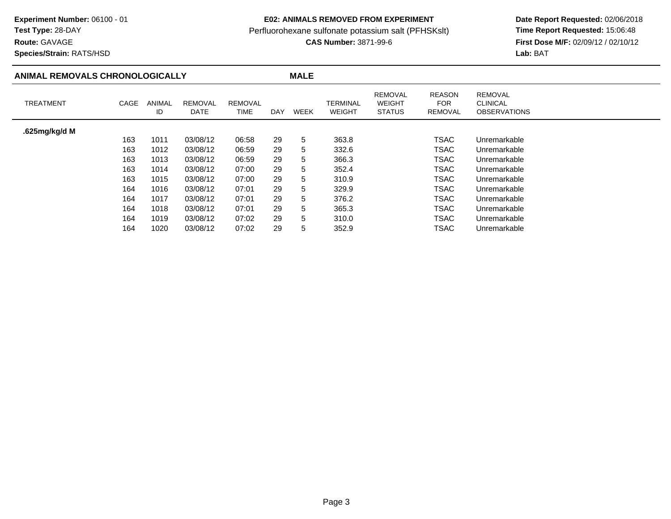## **Route:** GAVAGE

**Species/Strain:** RATS/HSD

## **E02: ANIMALS REMOVED FROM EXPERIMENT**

Perfluorohexane sulfonate potassium salt (PFHSKslt)<br>**CAS Number:** 3871-99-6

| ANIMAL REMOVALS CHRONOLOGICALLY |      |              |                        |                        |            | <b>MALE</b> |                           |                                                  |                                               |                                                          |  |
|---------------------------------|------|--------------|------------------------|------------------------|------------|-------------|---------------------------|--------------------------------------------------|-----------------------------------------------|----------------------------------------------------------|--|
| <b>TREATMENT</b>                | CAGE | ANIMAL<br>ID | <b>REMOVAL</b><br>DATE | <b>REMOVAL</b><br>TIME | <b>DAY</b> | WEEK        | TERMINAL<br><b>WEIGHT</b> | <b>REMOVAL</b><br><b>WEIGHT</b><br><b>STATUS</b> | <b>REASON</b><br><b>FOR</b><br><b>REMOVAL</b> | <b>REMOVAL</b><br><b>CLINICAL</b><br><b>OBSERVATIONS</b> |  |
| .625mg/kg/d M                   |      |              |                        |                        |            |             |                           |                                                  |                                               |                                                          |  |
|                                 | 163  | 1011         | 03/08/12               | 06:58                  | 29         | 5           | 363.8                     |                                                  | TSAC                                          | Unremarkable                                             |  |
|                                 | 163  | 1012         | 03/08/12               | 06:59                  | 29         | 5           | 332.6                     |                                                  | TSAC                                          | Unremarkable                                             |  |
|                                 | 163  | 1013         | 03/08/12               | 06:59                  | 29         | 5           | 366.3                     |                                                  | TSAC                                          | Unremarkable                                             |  |
|                                 | 163  | 1014         | 03/08/12               | 07:00                  | 29         | 5           | 352.4                     |                                                  | <b>TSAC</b>                                   | Unremarkable                                             |  |
|                                 | 163  | 1015         | 03/08/12               | 07:00                  | 29         | 5           | 310.9                     |                                                  | <b>TSAC</b>                                   | Unremarkable                                             |  |
|                                 | 164  | 1016         | 03/08/12               | 07:01                  | 29         | 5           | 329.9                     |                                                  | TSAC                                          | Unremarkable                                             |  |
|                                 | 164  | 1017         | 03/08/12               | 07:01                  | 29         | 5           | 376.2                     |                                                  | TSAC                                          | Unremarkable                                             |  |
|                                 | 164  | 1018         | 03/08/12               | 07:01                  | 29         | 5           | 365.3                     |                                                  | <b>TSAC</b>                                   | Unremarkable                                             |  |
|                                 | 164  | 1019         | 03/08/12               | 07:02                  | 29         | 5           | 310.0                     |                                                  | <b>TSAC</b>                                   | Unremarkable                                             |  |
|                                 | 164  | 1020         | 03/08/12               | 07:02                  | 29         | 5           | 352.9                     |                                                  | <b>TSAC</b>                                   | Unremarkable                                             |  |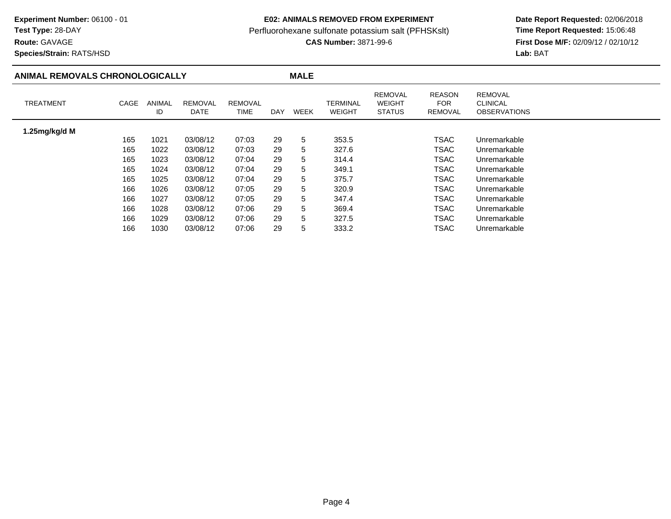## **Route:** GAVAGE

**Species/Strain:** RATS/HSD

### **E02: ANIMALS REMOVED FROM EXPERIMENT**

Perfluorohexane sulfonate potassium salt (PFHSKslt)<br>**CAS Number:** 3871-99-6

| ANIMAL REMOVALS CHRONOLOGICALLY |      |              |                        |                               |     | <b>MALE</b> |                           |                                                  |                                               |                                                          |
|---------------------------------|------|--------------|------------------------|-------------------------------|-----|-------------|---------------------------|--------------------------------------------------|-----------------------------------------------|----------------------------------------------------------|
| <b>TREATMENT</b>                | CAGE | ANIMAL<br>ID | <b>REMOVAL</b><br>DATE | <b>REMOVAL</b><br><b>TIME</b> | DAY | WEEK        | TERMINAL<br><b>WEIGHT</b> | <b>REMOVAL</b><br><b>WEIGHT</b><br><b>STATUS</b> | <b>REASON</b><br><b>FOR</b><br><b>REMOVAL</b> | <b>REMOVAL</b><br><b>CLINICAL</b><br><b>OBSERVATIONS</b> |
| 1.25mg/kg/d M                   |      |              |                        |                               |     |             |                           |                                                  |                                               |                                                          |
|                                 | 165  | 1021         | 03/08/12               | 07:03                         | 29  | 5           | 353.5                     |                                                  | TSAC                                          | Unremarkable                                             |
|                                 | 165  | 1022         | 03/08/12               | 07:03                         | 29  | 5           | 327.6                     |                                                  | TSAC                                          | Unremarkable                                             |
|                                 | 165  | 1023         | 03/08/12               | 07:04                         | 29  | 5           | 314.4                     |                                                  | <b>TSAC</b>                                   | Unremarkable                                             |
|                                 | 165  | 1024         | 03/08/12               | 07:04                         | 29  | 5           | 349.1                     |                                                  | <b>TSAC</b>                                   | Unremarkable                                             |
|                                 | 165  | 1025         | 03/08/12               | 07:04                         | 29  | 5           | 375.7                     |                                                  | <b>TSAC</b>                                   | Unremarkable                                             |
|                                 | 166  | 1026         | 03/08/12               | 07:05                         | 29  | 5           | 320.9                     |                                                  | TSAC                                          | Unremarkable                                             |
|                                 | 166  | 1027         | 03/08/12               | 07:05                         | 29  | 5           | 347.4                     |                                                  | TSAC                                          | Unremarkable                                             |
|                                 | 166  | 1028         | 03/08/12               | 07:06                         | 29  | 5           | 369.4                     |                                                  | <b>TSAC</b>                                   | Unremarkable                                             |
|                                 | 166  | 1029         | 03/08/12               | 07:06                         | 29  | 5           | 327.5                     |                                                  | <b>TSAC</b>                                   | Unremarkable                                             |
|                                 | 166  | 1030         | 03/08/12               | 07:06                         | 29  | 5           | 333.2                     |                                                  | TSAC                                          | Unremarkable                                             |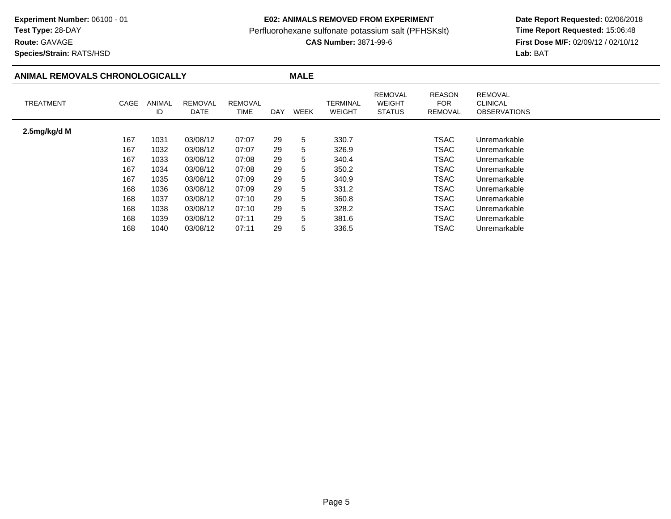## **E02: ANIMALS REMOVED FROM EXPERIMENT**

Perfluorohexane sulfonate potassium salt (PFHSKslt)<br>**CAS Number:** 3871-99-6

 **Date Report Requested:** 02/06/2018 **First Dose M/F:** 02/09/12 / 02/10/12<br>Lab: BAT **Lab:** BAT

**Species/Strain:** RATS/HSD

**Route:** GAVAGE

## **ANIMAL REMOVALS CHRONOLOGICALLY**

| <b>TREATMENT</b> | CAGE | <b>ANIMAL</b><br>ID | <b>REMOVAL</b><br>DATE | <b>REMOVAL</b><br>TIME | <b>DAY</b> | WEEK | <b>TERMINAL</b><br><b>WEIGHT</b> | <b>REMOVAL</b><br><b>WEIGHT</b><br><b>STATUS</b> | <b>REASON</b><br>FOR.<br>REMOVAL | <b>REMOVAL</b><br><b>CLINICAL</b><br><b>OBSERVATIONS</b> |
|------------------|------|---------------------|------------------------|------------------------|------------|------|----------------------------------|--------------------------------------------------|----------------------------------|----------------------------------------------------------|
| 2.5mg/kg/d M     |      |                     |                        |                        |            |      |                                  |                                                  |                                  |                                                          |
|                  | 167  | 1031                | 03/08/12               | 07:07                  | 29         | 5    | 330.7                            |                                                  | <b>TSAC</b>                      | Unremarkable                                             |
|                  | 167  | 1032                | 03/08/12               | 07:07                  | 29         | 5    | 326.9                            |                                                  | TSAC                             | Unremarkable                                             |
|                  | 167  | 1033                | 03/08/12               | 07:08                  | 29         | 5    | 340.4                            |                                                  | <b>TSAC</b>                      | Unremarkable                                             |
|                  | 167  | 1034                | 03/08/12               | 07:08                  | 29         | 5    | 350.2                            |                                                  | <b>TSAC</b>                      | Unremarkable                                             |
|                  | 167  | 1035                | 03/08/12               | 07:09                  | 29         | 5    | 340.9                            |                                                  | <b>TSAC</b>                      | Unremarkable                                             |
|                  | 168  | 1036                | 03/08/12               | 07:09                  | 29         | 5    | 331.2                            |                                                  | <b>TSAC</b>                      | Unremarkable                                             |
|                  | 168  | 1037                | 03/08/12               | 07:10                  | 29         | 5.   | 360.8                            |                                                  | <b>TSAC</b>                      | Unremarkable                                             |
|                  | 168  | 1038                | 03/08/12               | 07:10                  | 29         | 5    | 328.2                            |                                                  | <b>TSAC</b>                      | Unremarkable                                             |
|                  | 168  | 1039                | 03/08/12               | 07:11                  | 29         | 5.   | 381.6                            |                                                  | <b>TSAC</b>                      | Unremarkable                                             |
|                  | 168  | 1040                | 03/08/12               | 07:11                  | 29         | 5    | 336.5                            |                                                  | TSAC                             | Unremarkable                                             |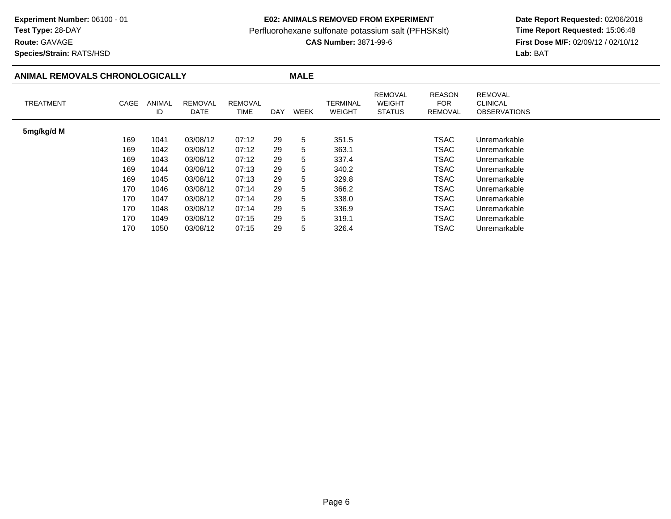**Route:** GAVAGE

### **E02: ANIMALS REMOVED FROM EXPERIMENT**

Perfluorohexane sulfonate potassium salt (PFHSKslt)<br>**CAS Number:** 3871-99-6

 **Date Report Requested:** 02/06/2018 **First Dose M/F:** 02/09/12 / 02/10/12<br>**Lab:** BAT **Lab:** BAT

**Species/Strain:** RATS/HSD

### **ANIMAL REMOVALS CHRONOLOGICALLY MALE** TREATMENT CAGE ANIMAL IDREMOVALDATEREMOVALTIME DAY WEEK TERMINAL WEIGHTREMOVAL WEIGHT STATUSREASONFOR REMOVALREMOVAL CLINICAL OBSERVATIONS**5mg/kg/d M**169 <sup>1041</sup> 03/08/12 07:12 <sup>29</sup> <sup>5</sup> 351.5 TSACTSAC Unremarkable<br>TSAC Unremarkable 169 <sup>1042</sup> 03/08/12 07:12 <sup>29</sup> <sup>5</sup> 363.1 TSACTSAC Unremarkable<br>TSAC Unremarkable 169 <sup>1043</sup> 03/08/12 07:12 <sup>29</sup> <sup>5</sup> 337.4 TSACTSAC Unremarkable<br>TSAC Unremarkable 169 <sup>1044</sup> 03/08/12 07:13 <sup>29</sup> <sup>5</sup> 340.2 TSACTSAC Unremarkable<br>TSAC Unremarkable 169 <sup>1045</sup> 03/08/12 07:13 <sup>29</sup> <sup>5</sup> 329.8 TSACTSAC Unremarkable<br>TSAC Unremarkable 170 <sup>1046</sup> 03/08/12 07:14 <sup>29</sup> <sup>5</sup> 366.2 TSACTSAC Unremarkable<br>TSAC Unremarkable 1700 1047 03/08/12 07:14 29 5 338.0 TSAC TSAC Unremarkable<br>TSAC Unremarkable 170 <sup>1048</sup> 03/08/12 07:14 <sup>29</sup> <sup>5</sup> 336.9 TSACTSAC Unremarkable<br>TSAC Unremarkable 170 <sup>1049</sup> 03/08/12 07:15 <sup>29</sup> <sup>5</sup> 319.1 TSACTSAC Unremarkable<br>TSAC Unremarkable 170Unremarkable

<sup>1050</sup> 03/08/12 07:15 <sup>29</sup> <sup>5</sup> 326.4 TSAC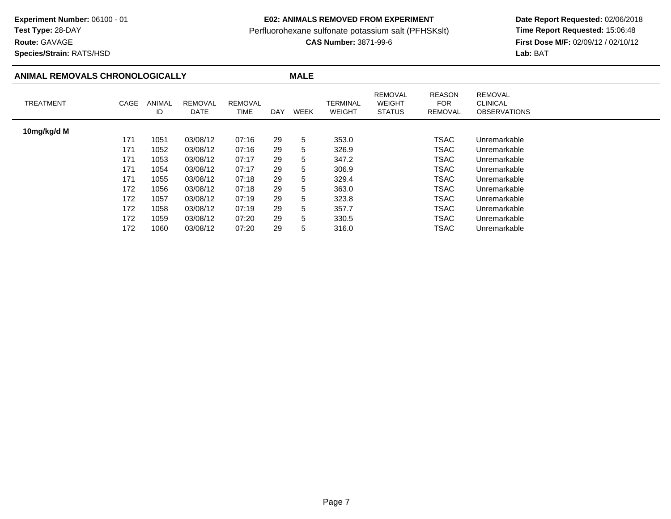## **Route:** GAVAGE

**Species/Strain:** RATS/HSD

### **E02: ANIMALS REMOVED FROM EXPERIMENT**

Perfluorohexane sulfonate potassium salt (PFHSKslt)<br>**CAS Number:** 3871-99-6

| ANIMAL REMOVALS CHRONOLOGICALLY |      |                     |                        |                        |            | <b>MALE</b> |                           |                                           |                                               |                                                          |  |
|---------------------------------|------|---------------------|------------------------|------------------------|------------|-------------|---------------------------|-------------------------------------------|-----------------------------------------------|----------------------------------------------------------|--|
| <b>TREATMENT</b>                | CAGE | <b>ANIMAL</b><br>ID | <b>REMOVAL</b><br>DATE | <b>REMOVAL</b><br>TIME | <b>DAY</b> | <b>WEEK</b> | TERMINAL<br><b>WEIGHT</b> | REMOVAL<br><b>WEIGHT</b><br><b>STATUS</b> | <b>REASON</b><br><b>FOR</b><br><b>REMOVAL</b> | <b>REMOVAL</b><br><b>CLINICAL</b><br><b>OBSERVATIONS</b> |  |
| 10mg/kg/d M                     |      |                     |                        |                        |            |             |                           |                                           |                                               |                                                          |  |
|                                 | 171  | 1051                | 03/08/12               | 07:16                  | 29         | 5           | 353.0                     |                                           | <b>TSAC</b>                                   | Unremarkable                                             |  |
|                                 | 171  | 1052                | 03/08/12               | 07:16                  | 29         | 5           | 326.9                     |                                           | TSAC                                          | Unremarkable                                             |  |
|                                 | 171  | 1053                | 03/08/12               | 07:17                  | 29         | 5           | 347.2                     |                                           | <b>TSAC</b>                                   | Unremarkable                                             |  |
|                                 | 171  | 1054                | 03/08/12               | 07:17                  | 29         | 5           | 306.9                     |                                           | <b>TSAC</b>                                   | Unremarkable                                             |  |
|                                 | 171  | 1055                | 03/08/12               | 07:18                  | 29         | 5           | 329.4                     |                                           | <b>TSAC</b>                                   | Unremarkable                                             |  |
|                                 | 172  | 1056                | 03/08/12               | 07:18                  | 29         | 5           | 363.0                     |                                           | TSAC                                          | Unremarkable                                             |  |
|                                 | 172  | 1057                | 03/08/12               | 07:19                  | 29         | 5           | 323.8                     |                                           | <b>TSAC</b>                                   | Unremarkable                                             |  |
|                                 | 172  | 1058                | 03/08/12               | 07:19                  | 29         | 5           | 357.7                     |                                           | <b>TSAC</b>                                   | Unremarkable                                             |  |
|                                 | 172  | 1059                | 03/08/12               | 07:20                  | 29         | 5           | 330.5                     |                                           | <b>TSAC</b>                                   | Unremarkable                                             |  |
|                                 | 172  | 1060                | 03/08/12               | 07:20                  | 29         | 5           | 316.0                     |                                           | <b>TSAC</b>                                   | Unremarkable                                             |  |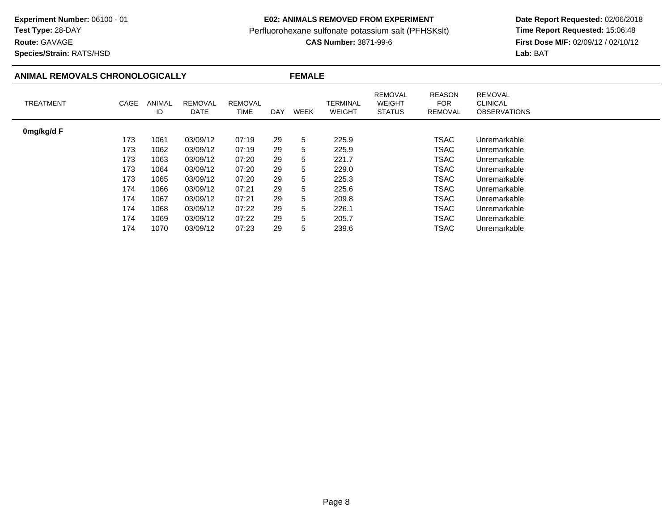## **Route:** GAVAGE

**Species/Strain:** RATS/HSD

### **E02: ANIMALS REMOVED FROM EXPERIMENT**

Perfluorohexane sulfonate potassium salt (PFHSKslt)<br>**CAS Number:** 3871-99-6

| ANIMAL REMOVALS CHRONOLOGICALLY |      |                     |                        |                        |     | <b>FEMALE</b> |                           |                                                  |                                               |                                                          |
|---------------------------------|------|---------------------|------------------------|------------------------|-----|---------------|---------------------------|--------------------------------------------------|-----------------------------------------------|----------------------------------------------------------|
| <b>TREATMENT</b>                | CAGE | <b>ANIMAL</b><br>ID | <b>REMOVAL</b><br>DATE | <b>REMOVAL</b><br>TIME | DAY | <b>WEEK</b>   | TERMINAL<br><b>WEIGHT</b> | <b>REMOVAL</b><br><b>WEIGHT</b><br><b>STATUS</b> | <b>REASON</b><br><b>FOR</b><br><b>REMOVAL</b> | <b>REMOVAL</b><br><b>CLINICAL</b><br><b>OBSERVATIONS</b> |
| 0mg/kg/d F                      |      |                     |                        |                        |     |               |                           |                                                  |                                               |                                                          |
|                                 | 173  | 1061                | 03/09/12               | 07:19                  | 29  | 5             | 225.9                     |                                                  | <b>TSAC</b>                                   | Unremarkable                                             |
|                                 | 173  | 1062                | 03/09/12               | 07:19                  | 29  | 5             | 225.9                     |                                                  | <b>TSAC</b>                                   | Unremarkable                                             |
|                                 | 173  | 1063                | 03/09/12               | 07:20                  | 29  | 5             | 221.7                     |                                                  | <b>TSAC</b>                                   | Unremarkable                                             |
|                                 | 173  | 1064                | 03/09/12               | 07:20                  | 29  | 5             | 229.0                     |                                                  | <b>TSAC</b>                                   | Unremarkable                                             |
|                                 | 173  | 1065                | 03/09/12               | 07:20                  | 29  | 5             | 225.3                     |                                                  | <b>TSAC</b>                                   | Unremarkable                                             |
|                                 | 174  | 1066                | 03/09/12               | 07:21                  | 29  | 5             | 225.6                     |                                                  | <b>TSAC</b>                                   | Unremarkable                                             |
|                                 | 174  | 1067                | 03/09/12               | 07:21                  | 29  | 5             | 209.8                     |                                                  | <b>TSAC</b>                                   | Unremarkable                                             |
|                                 | 174  | 1068                | 03/09/12               | 07:22                  | 29  | 5             | 226.1                     |                                                  | <b>TSAC</b>                                   | Unremarkable                                             |
|                                 | 174  | 1069                | 03/09/12               | 07:22                  | 29  | 5             | 205.7                     |                                                  | <b>TSAC</b>                                   | Unremarkable                                             |
|                                 | 174  | 1070                | 03/09/12               | 07:23                  | 29  | 5             | 239.6                     |                                                  | TSAC                                          | Unremarkable                                             |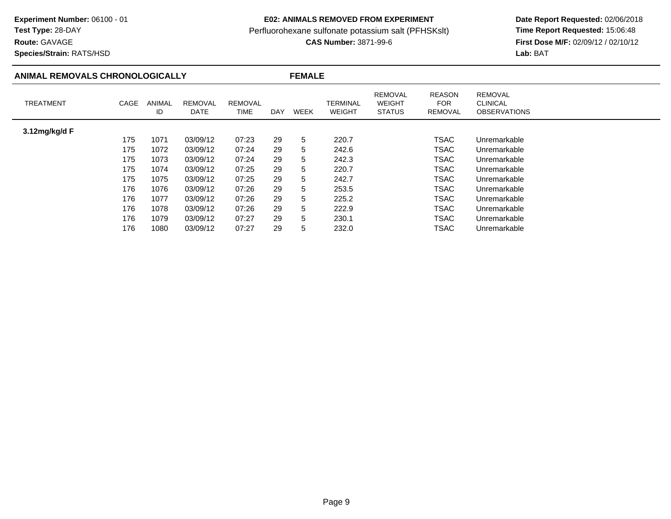## **Route:** GAVAGE

 $\overline{\phantom{a}}$ 

**Species/Strain:** RATS/HSD

### **E02: ANIMALS REMOVED FROM EXPERIMENT**

Perfluorohexane sulfonate potassium salt (PFHSKslt)<br>**CAS Number:** 3871-99-6

| <b>ANIMAL REMOVALS CHRONOLOGICALLY</b> |      |              |                        |                        |     | <b>FEMALE</b> |                           |                                                  |                                               |                                                          |  |
|----------------------------------------|------|--------------|------------------------|------------------------|-----|---------------|---------------------------|--------------------------------------------------|-----------------------------------------------|----------------------------------------------------------|--|
| <b>TREATMENT</b>                       | CAGE | ANIMAL<br>ID | <b>REMOVAL</b><br>DATE | <b>REMOVAL</b><br>TIME | DAY | <b>WEEK</b>   | TERMINAL<br><b>WEIGHT</b> | <b>REMOVAL</b><br><b>WEIGHT</b><br><b>STATUS</b> | <b>REASON</b><br><b>FOR</b><br><b>REMOVAL</b> | <b>REMOVAL</b><br><b>CLINICAL</b><br><b>OBSERVATIONS</b> |  |
| 3.12mg/kg/d F                          |      |              |                        |                        |     |               |                           |                                                  |                                               |                                                          |  |
|                                        | 175  | 1071         | 03/09/12               | 07:23                  | 29  | 5             | 220.7                     |                                                  | <b>TSAC</b>                                   | Unremarkable                                             |  |
|                                        | 175  | 1072         | 03/09/12               | 07:24                  | 29  | 5             | 242.6                     |                                                  | <b>TSAC</b>                                   | Unremarkable                                             |  |
|                                        | 175  | 1073         | 03/09/12               | 07:24                  | 29  | 5             | 242.3                     |                                                  | <b>TSAC</b>                                   | Unremarkable                                             |  |
|                                        | 175  | 1074         | 03/09/12               | 07:25                  | 29  | 5             | 220.7                     |                                                  | <b>TSAC</b>                                   | Unremarkable                                             |  |
|                                        | 175  | 1075         | 03/09/12               | 07:25                  | 29  | 5             | 242.7                     |                                                  | <b>TSAC</b>                                   | Unremarkable                                             |  |
|                                        | 176  | 1076         | 03/09/12               | 07:26                  | 29  | 5             | 253.5                     |                                                  | TSAC                                          | Unremarkable                                             |  |
|                                        | 176  | 1077         | 03/09/12               | 07:26                  | 29  | 5             | 225.2                     |                                                  | <b>TSAC</b>                                   | Unremarkable                                             |  |
|                                        | 176  | 1078         | 03/09/12               | 07:26                  | 29  | 5             | 222.9                     |                                                  | <b>TSAC</b>                                   | Unremarkable                                             |  |
|                                        | 176  | 1079         | 03/09/12               | 07:27                  | 29  | 5             | 230.1                     |                                                  | <b>TSAC</b>                                   | Unremarkable                                             |  |
|                                        | 176  | 1080         | 03/09/12               | 07:27                  | 29  | 5             | 232.0                     |                                                  | TSAC                                          | Unremarkable                                             |  |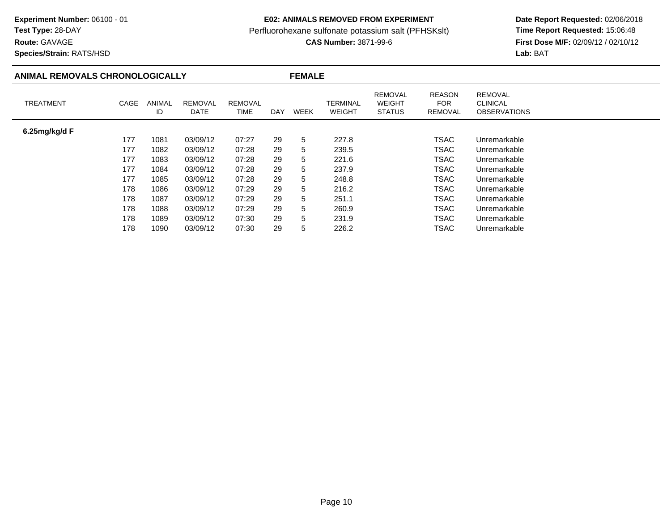## **Route:** GAVAGE

**Species/Strain:** RATS/HSD

### **E02: ANIMALS REMOVED FROM EXPERIMENT**

Perfluorohexane sulfonate potassium salt (PFHSKslt)<br>**CAS Number:** 3871-99-6

| ANIMAL REMOVALS CHRONOLOGICALLY |      |                     |                        | <b>FEMALE</b>          |            |             |                           |                                                  |                                               |                                                          |
|---------------------------------|------|---------------------|------------------------|------------------------|------------|-------------|---------------------------|--------------------------------------------------|-----------------------------------------------|----------------------------------------------------------|
| <b>TREATMENT</b>                | CAGE | <b>ANIMAL</b><br>ID | <b>REMOVAL</b><br>DATE | <b>REMOVAL</b><br>TIME | <b>DAY</b> | <b>WEEK</b> | TERMINAL<br><b>WEIGHT</b> | <b>REMOVAL</b><br><b>WEIGHT</b><br><b>STATUS</b> | <b>REASON</b><br><b>FOR</b><br><b>REMOVAL</b> | <b>REMOVAL</b><br><b>CLINICAL</b><br><b>OBSERVATIONS</b> |
| 6.25 $mg/kg/d$ F                |      |                     |                        |                        |            |             |                           |                                                  |                                               |                                                          |
|                                 | 177  | 1081                | 03/09/12               | 07:27                  | 29         | 5           | 227.8                     |                                                  | <b>TSAC</b>                                   | Unremarkable                                             |
|                                 | 177  | 1082                | 03/09/12               | 07:28                  | 29         | 5           | 239.5                     |                                                  | <b>TSAC</b>                                   | Unremarkable                                             |
|                                 | 177  | 1083                | 03/09/12               | 07:28                  | 29         | 5           | 221.6                     |                                                  | <b>TSAC</b>                                   | Unremarkable                                             |
|                                 | 177  | 1084                | 03/09/12               | 07:28                  | 29         | 5           | 237.9                     |                                                  | <b>TSAC</b>                                   | Unremarkable                                             |
|                                 | 177  | 1085                | 03/09/12               | 07:28                  | 29         | 5           | 248.8                     |                                                  | <b>TSAC</b>                                   | Unremarkable                                             |
|                                 | 178  | 1086                | 03/09/12               | 07:29                  | 29         | 5           | 216.2                     |                                                  | <b>TSAC</b>                                   | Unremarkable                                             |
|                                 | 178  | 1087                | 03/09/12               | 07:29                  | 29         | 5           | 251.1                     |                                                  | TSAC                                          | Unremarkable                                             |
|                                 | 178  | 1088                | 03/09/12               | 07:29                  | 29         | 5           | 260.9                     |                                                  | <b>TSAC</b>                                   | Unremarkable                                             |
|                                 | 178  | 1089                | 03/09/12               | 07:30                  | 29         | 5           | 231.9                     |                                                  | <b>TSAC</b>                                   | Unremarkable                                             |
|                                 | 178  | 1090                | 03/09/12               | 07:30                  | 29         | 5           | 226.2                     |                                                  | <b>TSAC</b>                                   | Unremarkable                                             |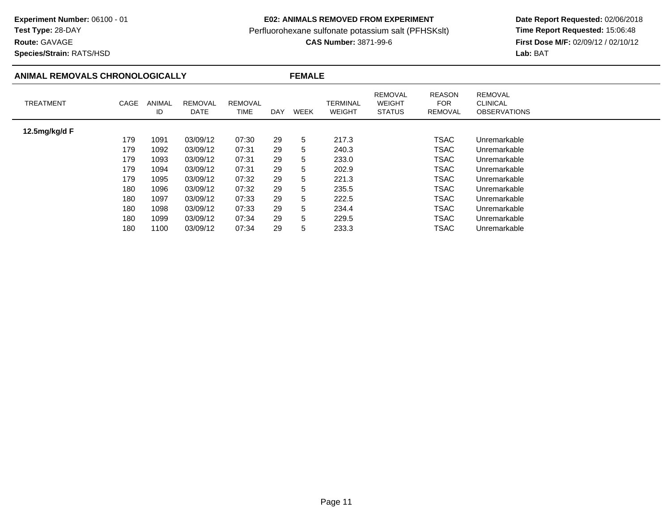## **Route:** GAVAGE

 $\overline{\phantom{a}}$ 

**Species/Strain:** RATS/HSD

### **E02: ANIMALS REMOVED FROM EXPERIMENT**

Perfluorohexane sulfonate potassium salt (PFHSKslt)<br>**CAS Number:** 3871-99-6

| ANIMAL REMOVALS CHRONOLOGICALLY |      |              |                        |                               |     | <b>FEMALE</b> |                           |                                                  |                                  |                                                          |  |
|---------------------------------|------|--------------|------------------------|-------------------------------|-----|---------------|---------------------------|--------------------------------------------------|----------------------------------|----------------------------------------------------------|--|
| <b>TREATMENT</b>                | CAGE | ANIMAL<br>ID | <b>REMOVAL</b><br>DATE | <b>REMOVAL</b><br><b>TIME</b> | DAY | WEEK          | TERMINAL<br><b>WEIGHT</b> | <b>REMOVAL</b><br><b>WEIGHT</b><br><b>STATUS</b> | <b>REASON</b><br>FOR.<br>REMOVAL | <b>REMOVAL</b><br><b>CLINICAL</b><br><b>OBSERVATIONS</b> |  |
| 12.5mg/kg/d F                   |      |              |                        |                               |     |               |                           |                                                  |                                  |                                                          |  |
|                                 | 179  | 1091         | 03/09/12               | 07:30                         | 29  | 5             | 217.3                     |                                                  | <b>TSAC</b>                      | Unremarkable                                             |  |
|                                 | 179  | 1092         | 03/09/12               | 07:31                         | 29  | 5             | 240.3                     |                                                  | <b>TSAC</b>                      | Unremarkable                                             |  |
|                                 | 179  | 1093         | 03/09/12               | 07:31                         | 29  | 5             | 233.0                     |                                                  | TSAC                             | Unremarkable                                             |  |
|                                 | 179  | 1094         | 03/09/12               | 07:31                         | 29  | 5             | 202.9                     |                                                  | <b>TSAC</b>                      | Unremarkable                                             |  |
|                                 | 179  | 1095         | 03/09/12               | 07:32                         | 29  | 5             | 221.3                     |                                                  | <b>TSAC</b>                      | Unremarkable                                             |  |
|                                 | 180  | 1096         | 03/09/12               | 07:32                         | 29  | 5             | 235.5                     |                                                  | TSAC                             | Unremarkable                                             |  |
|                                 | 180  | 1097         | 03/09/12               | 07:33                         | 29  | 5             | 222.5                     |                                                  | <b>TSAC</b>                      | Unremarkable                                             |  |
|                                 | 180  | 1098         | 03/09/12               | 07:33                         | 29  | 5             | 234.4                     |                                                  | <b>TSAC</b>                      | Unremarkable                                             |  |
|                                 | 180  | 1099         | 03/09/12               | 07:34                         | 29  | 5             | 229.5                     |                                                  | <b>TSAC</b>                      | Unremarkable                                             |  |
|                                 | 180  | 1100         | 03/09/12               | 07:34                         | 29  | 5             | 233.3                     |                                                  | TSAC                             | Unremarkable                                             |  |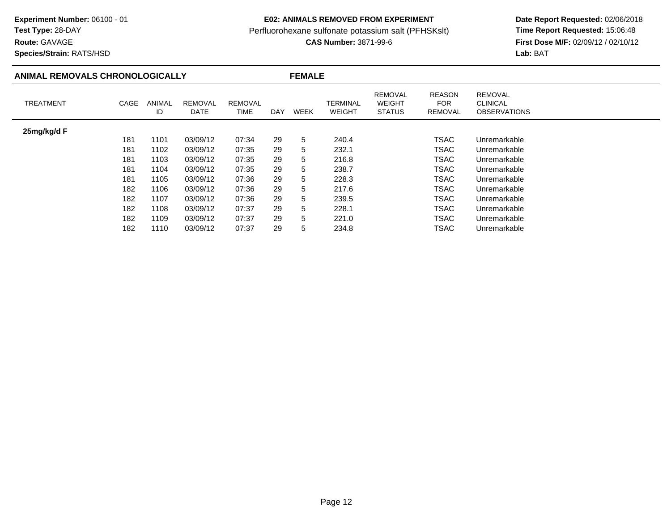## **E02: ANIMALS REMOVED FROM EXPERIMENT**

Perfluorohexane sulfonate potassium salt (PFHSKslt)<br>**CAS Number:** 3871-99-6

 **Date Report Requested:** 02/06/2018 **First Dose M/F:** 02/09/12 / 02/10/12<br>Lab: BAT **Lab:** BAT

## Page 12

| NIMAL REMOVALS CHRONOLOGICALLY |              |                        | <b>FEMALE</b>          |     |      |                                  |                                                  |                                        |                                                          |  |
|--------------------------------|--------------|------------------------|------------------------|-----|------|----------------------------------|--------------------------------------------------|----------------------------------------|----------------------------------------------------------|--|
| <b>TREATMENT</b><br>CAGE       | ANIMAL<br>ID | <b>REMOVAL</b><br>DATE | <b>REMOVAL</b><br>TIME | DAY | WEEK | <b>TERMINAL</b><br><b>WEIGHT</b> | <b>REMOVAL</b><br><b>WEIGHT</b><br><b>STATUS</b> | <b>REASON</b><br><b>FOR</b><br>REMOVAL | <b>REMOVAL</b><br><b>CLINICAL</b><br><b>OBSERVATIONS</b> |  |
| 25mg/kg/d F                    |              |                        |                        |     |      |                                  |                                                  |                                        |                                                          |  |
| 181                            | 1101         | 03/09/12               | 07:34                  | 29  | 5    | 240.4                            |                                                  | <b>TSAC</b>                            | Unremarkable                                             |  |
| 181                            | 1102         | 03/09/12               | 07:35                  | 29  | 5.   | 232.1                            |                                                  | TSAC                                   | Unremarkable                                             |  |
| 181                            | 1103         | 03/09/12               | 07:35                  | 29  | 5.   | 216.8                            |                                                  | TSAC                                   | Unremarkable                                             |  |
| 181                            | 1104         | 03/09/12               | 07:35                  | 29  | 5.   | 238.7                            |                                                  | <b>TSAC</b>                            | Unremarkable                                             |  |
| 181                            | 1105         | 03/09/12               | 07:36                  | 29  | 5.   | 228.3                            |                                                  | <b>TSAC</b>                            | Unremarkable                                             |  |
| 182                            | 1106         | 03/09/12               | 07:36                  | 29  | 5.   | 217.6                            |                                                  | TSAC                                   | Unremarkable                                             |  |
| 182                            | 1107         | 03/09/12               | 07:36                  | 29  | 5.   | 239.5                            |                                                  | TSAC                                   | Unremarkable                                             |  |
| 182                            | 1108         | 03/09/12               | 07:37                  | 29  | 5.   | 228.1                            |                                                  | TSAC                                   | Unremarkable                                             |  |
| 182                            | 1109         | 03/09/12               | 07:37                  | 29  | 5    | 221.0                            |                                                  | <b>TSAC</b>                            | Unremarkable                                             |  |
| 182                            | 1110         | 03/09/12               | 07:37                  | 29  | 5    | 234.8                            |                                                  | TSAC                                   | Unremarkable                                             |  |

**Route:** GAVAGE

**Species/Strain:** RATS/HSD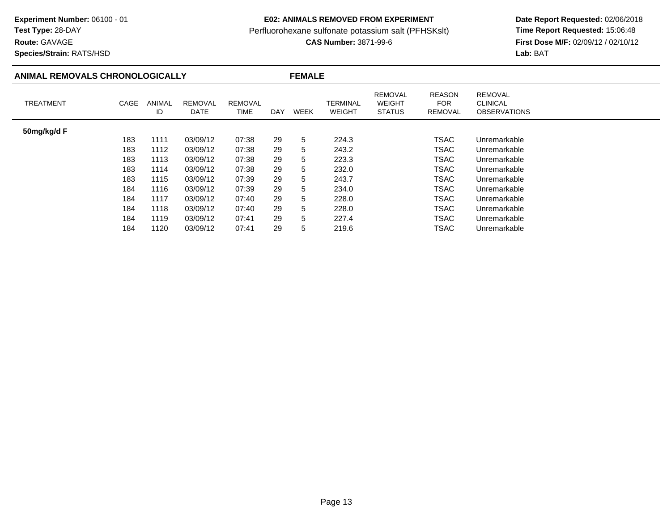**Route:** GAVAGE

**Species/Strain:** RATS/HSD

## **E02: ANIMALS REMOVED FROM EXPERIMENT**

Perfluorohexane sulfonate potassium salt (PFHSKslt)<br>**CAS Number:** 3871-99-6

| ANIMAL REMOVALS CHRONOLOGICALLY |      |                     | <b>FEMALE</b>          |                        |     |             |                           |                                                  |                                               |                                                          |
|---------------------------------|------|---------------------|------------------------|------------------------|-----|-------------|---------------------------|--------------------------------------------------|-----------------------------------------------|----------------------------------------------------------|
| <b>TREATMENT</b>                | CAGE | <b>ANIMAL</b><br>ID | <b>REMOVAL</b><br>DATE | <b>REMOVAL</b><br>TIME | DAY | <b>WEEK</b> | <b>TERMINAL</b><br>WEIGHT | <b>REMOVAL</b><br><b>WEIGHT</b><br><b>STATUS</b> | <b>REASON</b><br><b>FOR</b><br><b>REMOVAL</b> | <b>REMOVAL</b><br><b>CLINICAL</b><br><b>OBSERVATIONS</b> |
| 50mg/kg/d F                     |      |                     |                        |                        |     |             |                           |                                                  |                                               |                                                          |
|                                 | 183  | 1111                | 03/09/12               | 07:38                  | 29  | 5           | 224.3                     |                                                  | <b>TSAC</b>                                   | Unremarkable                                             |
|                                 | 183  | 1112                | 03/09/12               | 07:38                  | 29  | 5           | 243.2                     |                                                  | TSAC                                          | Unremarkable                                             |
|                                 | 183  | 1113                | 03/09/12               | 07:38                  | 29  | 5           | 223.3                     |                                                  | <b>TSAC</b>                                   | Unremarkable                                             |
|                                 | 183  | 1114                | 03/09/12               | 07:38                  | 29  | 5           | 232.0                     |                                                  | <b>TSAC</b>                                   | Unremarkable                                             |
|                                 | 183  | 1115                | 03/09/12               | 07:39                  | 29  | 5           | 243.7                     |                                                  | TSAC                                          | Unremarkable                                             |
|                                 | 184  | 1116                | 03/09/12               | 07:39                  | 29  | 5           | 234.0                     |                                                  | TSAC                                          | Unremarkable                                             |
|                                 | 184  | 1117                | 03/09/12               | 07:40                  | 29  | 5           | 228.0                     |                                                  | <b>TSAC</b>                                   | Unremarkable                                             |
|                                 | 184  | 1118                | 03/09/12               | 07:40                  | 29  | 5           | 228.0                     |                                                  | <b>TSAC</b>                                   | Unremarkable                                             |
|                                 | 184  | 1119                | 03/09/12               | 07:41                  | 29  | 5           | 227.4                     |                                                  | <b>TSAC</b>                                   | Unremarkable                                             |
|                                 | 184  | 1120                | 03/09/12               | 07:41                  | 29  | 5           | 219.6                     |                                                  | TSAC                                          | Unremarkable                                             |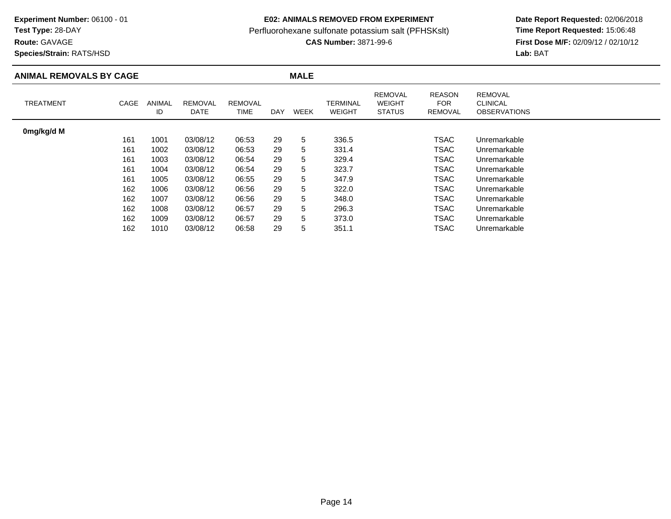**Route:** GAVAGE

**Species/Strain:** RATS/HSD

## **E02: ANIMALS REMOVED FROM EXPERIMENT**

Perfluorohexane sulfonate potassium salt (PFHSKslt)<br>**CAS Number:** 3871-99-6

| <b>ANIMAL REMOVALS BY CAGE</b> |      |                     |                        |                        |            | <b>MALE</b> |                           |                                                  |                                               |                                                          |
|--------------------------------|------|---------------------|------------------------|------------------------|------------|-------------|---------------------------|--------------------------------------------------|-----------------------------------------------|----------------------------------------------------------|
| <b>TREATMENT</b>               | CAGE | <b>ANIMAL</b><br>ID | <b>REMOVAL</b><br>DATE | <b>REMOVAL</b><br>TIME | <b>DAY</b> | WEEK        | TERMINAL<br><b>WEIGHT</b> | <b>REMOVAL</b><br><b>WEIGHT</b><br><b>STATUS</b> | <b>REASON</b><br><b>FOR</b><br><b>REMOVAL</b> | <b>REMOVAL</b><br><b>CLINICAL</b><br><b>OBSERVATIONS</b> |
| 0mg/kg/d M                     |      |                     |                        |                        |            |             |                           |                                                  |                                               |                                                          |
|                                | 161  | 1001                | 03/08/12               | 06:53                  | 29         | 5           | 336.5                     |                                                  | <b>TSAC</b>                                   | Unremarkable                                             |
|                                | 161  | 1002                | 03/08/12               | 06:53                  | 29         | 5           | 331.4                     |                                                  | <b>TSAC</b>                                   | Unremarkable                                             |
|                                | 161  | 1003                | 03/08/12               | 06:54                  | 29         | 5           | 329.4                     |                                                  | TSAC                                          | Unremarkable                                             |
|                                | 161  | 1004                | 03/08/12               | 06:54                  | 29         | 5           | 323.7                     |                                                  | TSAC                                          | Unremarkable                                             |
|                                | 161  | 1005                | 03/08/12               | 06:55                  | 29         | 5           | 347.9                     |                                                  | TSAC                                          | Unremarkable                                             |
|                                | 162  | 1006                | 03/08/12               | 06:56                  | 29         | 5           | 322.0                     |                                                  | <b>TSAC</b>                                   | Unremarkable                                             |
|                                | 162  | 1007                | 03/08/12               | 06:56                  | 29         | 5           | 348.0                     |                                                  | TSAC                                          | Unremarkable                                             |
|                                | 162  | 1008                | 03/08/12               | 06:57                  | 29         | 5           | 296.3                     |                                                  | TSAC                                          | Unremarkable                                             |
|                                | 162  | 1009                | 03/08/12               | 06:57                  | 29         | 5           | 373.0                     |                                                  | TSAC                                          | Unremarkable                                             |
|                                | 162  | 1010                | 03/08/12               | 06:58                  | 29         | 5           | 351.1                     |                                                  | TSAC                                          | Unremarkable                                             |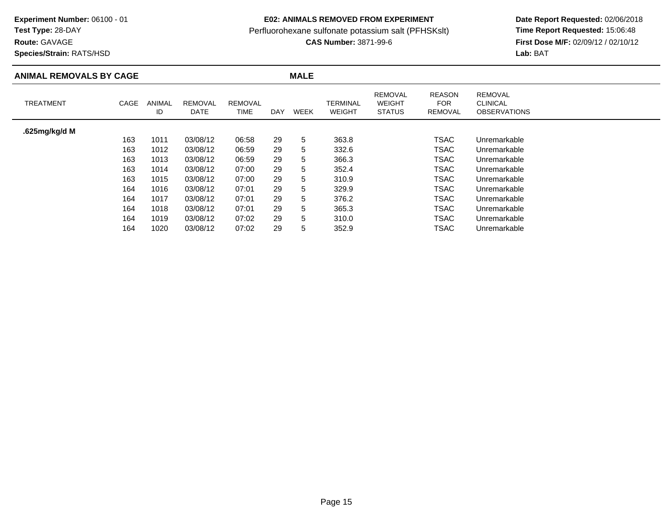**Test Type:** 28-DAY

**Route:** GAVAGE

**Species/Strain:** RATS/HSD

## **E02: ANIMALS REMOVED FROM EXPERIMENT**

Perfluorohexane sulfonate potassium salt (PFHSKslt)<br>**CAS Number:** 3871-99-6

| <b>ANIMAL REMOVALS BY CAGE</b> |      |                     |                        |                        |            | <b>MALE</b> |                           |                                                  |                                        |                                                          |  |
|--------------------------------|------|---------------------|------------------------|------------------------|------------|-------------|---------------------------|--------------------------------------------------|----------------------------------------|----------------------------------------------------------|--|
| <b>TREATMENT</b>               | CAGE | <b>ANIMAL</b><br>ID | <b>REMOVAL</b><br>DATE | <b>REMOVAL</b><br>TIME | <b>DAY</b> | WEEK        | TERMINAL<br><b>WEIGHT</b> | <b>REMOVAL</b><br><b>WEIGHT</b><br><b>STATUS</b> | <b>REASON</b><br><b>FOR</b><br>REMOVAL | <b>REMOVAL</b><br><b>CLINICAL</b><br><b>OBSERVATIONS</b> |  |
| .625mg/kg/d M                  |      |                     |                        |                        |            |             |                           |                                                  |                                        |                                                          |  |
|                                | 163  | 1011                | 03/08/12               | 06:58                  | 29         | 5           | 363.8                     |                                                  | TSAC                                   | Unremarkable                                             |  |
|                                | 163  | 1012                | 03/08/12               | 06:59                  | 29         | 5           | 332.6                     |                                                  | <b>TSAC</b>                            | Unremarkable                                             |  |
|                                | 163  | 1013                | 03/08/12               | 06:59                  | 29         | 5           | 366.3                     |                                                  | <b>TSAC</b>                            | Unremarkable                                             |  |
|                                | 163  | 1014                | 03/08/12               | 07:00                  | 29         | 5           | 352.4                     |                                                  | <b>TSAC</b>                            | Unremarkable                                             |  |
|                                | 163  | 1015                | 03/08/12               | 07:00                  | 29         | 5           | 310.9                     |                                                  | TSAC                                   | Unremarkable                                             |  |
|                                | 164  | 1016                | 03/08/12               | 07:01                  | 29         | 5           | 329.9                     |                                                  | TSAC                                   | Unremarkable                                             |  |
|                                | 164  | 1017                | 03/08/12               | 07:01                  | 29         | 5           | 376.2                     |                                                  | <b>TSAC</b>                            | Unremarkable                                             |  |
|                                | 164  | 1018                | 03/08/12               | 07:01                  | 29         | 5           | 365.3                     |                                                  | <b>TSAC</b>                            | Unremarkable                                             |  |
|                                | 164  | 1019                | 03/08/12               | 07:02                  | 29         | 5           | 310.0                     |                                                  | TSAC                                   | Unremarkable                                             |  |
|                                | 164  | 1020                | 03/08/12               | 07:02                  | 29         | 5           | 352.9                     |                                                  | TSAC                                   | Unremarkable                                             |  |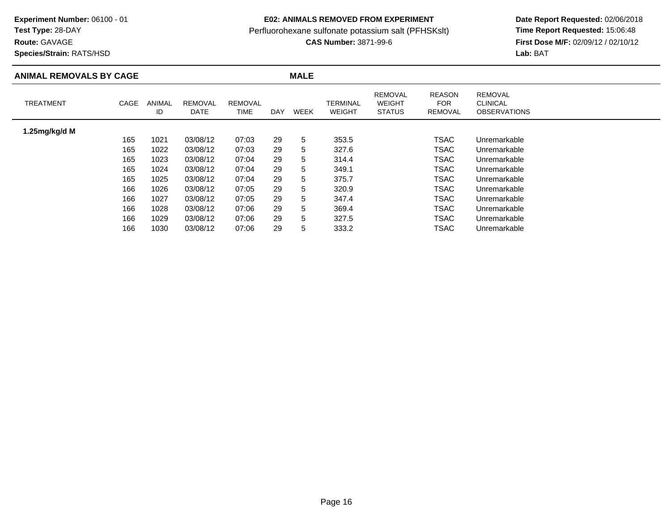**Test Type:** 28-DAY

**Route:** GAVAGE

**Species/Strain:** RATS/HSD

## **E02: ANIMALS REMOVED FROM EXPERIMENT**

Perfluorohexane sulfonate potassium salt (PFHSKslt)<br>**CAS Number:** 3871-99-6

| <b>ANIMAL REMOVALS BY CAGE</b> |      |              |                               |                               |     | <b>MALE</b> |                           |                                                  |                                               |                                                          |
|--------------------------------|------|--------------|-------------------------------|-------------------------------|-----|-------------|---------------------------|--------------------------------------------------|-----------------------------------------------|----------------------------------------------------------|
| <b>TREATMENT</b>               | CAGE | ANIMAL<br>ID | <b>REMOVAL</b><br><b>DATE</b> | <b>REMOVAL</b><br><b>TIME</b> | DAY | WEEK        | TERMINAL<br><b>WEIGHT</b> | <b>REMOVAL</b><br><b>WEIGHT</b><br><b>STATUS</b> | <b>REASON</b><br><b>FOR</b><br><b>REMOVAL</b> | <b>REMOVAL</b><br><b>CLINICAL</b><br><b>OBSERVATIONS</b> |
| 1.25mg/kg/d M                  |      |              |                               |                               |     |             |                           |                                                  |                                               |                                                          |
|                                | 165  | 1021         | 03/08/12                      | 07:03                         | 29  | 5           | 353.5                     |                                                  | TSAC                                          | Unremarkable                                             |
|                                | 165  | 1022         | 03/08/12                      | 07:03                         | 29  | 5           | 327.6                     |                                                  | TSAC                                          | Unremarkable                                             |
|                                | 165  | 1023         | 03/08/12                      | 07:04                         | 29  | 5           | 314.4                     |                                                  | <b>TSAC</b>                                   | Unremarkable                                             |
|                                | 165  | 1024         | 03/08/12                      | 07:04                         | 29  | 5           | 349.1                     |                                                  | <b>TSAC</b>                                   | Unremarkable                                             |
|                                | 165  | 1025         | 03/08/12                      | 07:04                         | 29  | 5           | 375.7                     |                                                  | <b>TSAC</b>                                   | Unremarkable                                             |
|                                | 166  | 1026         | 03/08/12                      | 07:05                         | 29  | 5           | 320.9                     |                                                  | TSAC                                          | Unremarkable                                             |
|                                | 166  | 1027         | 03/08/12                      | 07:05                         | 29  | 5           | 347.4                     |                                                  | <b>TSAC</b>                                   | Unremarkable                                             |
|                                | 166  | 1028         | 03/08/12                      | 07:06                         | 29  | 5           | 369.4                     |                                                  | <b>TSAC</b>                                   | Unremarkable                                             |
|                                | 166  | 1029         | 03/08/12                      | 07:06                         | 29  | 5           | 327.5                     |                                                  | <b>TSAC</b>                                   | Unremarkable                                             |
|                                | 166  | 1030         | 03/08/12                      | 07:06                         | 29  | 5           | 333.2                     |                                                  | TSAC                                          | Unremarkable                                             |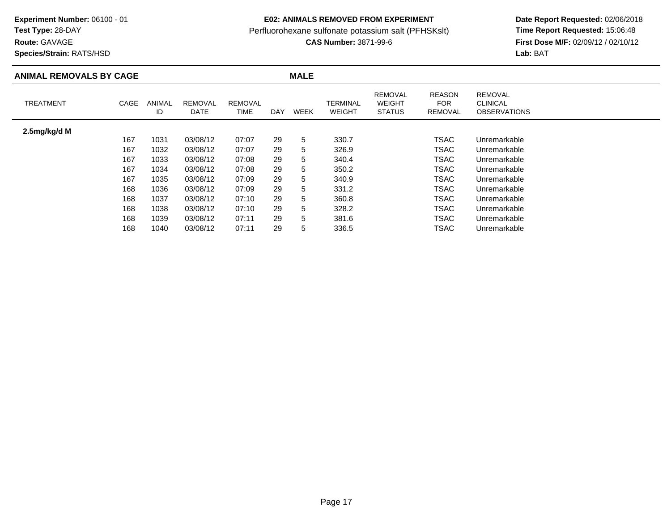**Route:** GAVAGE

**Species/Strain:** RATS/HSD

## **E02: ANIMALS REMOVED FROM EXPERIMENT**

Perfluorohexane sulfonate potassium salt (PFHSKslt)<br>**CAS Number:** 3871-99-6

| <b>ANIMAL REMOVALS BY CAGE</b> |      |                     |                        |                        |            | <b>MALE</b> |                           |                                                  |                                        |                                                          |
|--------------------------------|------|---------------------|------------------------|------------------------|------------|-------------|---------------------------|--------------------------------------------------|----------------------------------------|----------------------------------------------------------|
| <b>TREATMENT</b>               | CAGE | <b>ANIMAL</b><br>ID | <b>REMOVAL</b><br>DATE | <b>REMOVAL</b><br>TIME | <b>DAY</b> | WEEK        | TERMINAL<br><b>WEIGHT</b> | <b>REMOVAL</b><br><b>WEIGHT</b><br><b>STATUS</b> | <b>REASON</b><br><b>FOR</b><br>REMOVAL | <b>REMOVAL</b><br><b>CLINICAL</b><br><b>OBSERVATIONS</b> |
| 2.5mg/kg/d M                   |      |                     |                        |                        |            |             |                           |                                                  |                                        |                                                          |
|                                | 167  | 1031                | 03/08/12               | 07:07                  | 29         | 5           | 330.7                     |                                                  | TSAC                                   | Unremarkable                                             |
|                                | 167  | 1032                | 03/08/12               | 07:07                  | 29         | 5           | 326.9                     |                                                  | <b>TSAC</b>                            | Unremarkable                                             |
|                                | 167  | 1033                | 03/08/12               | 07:08                  | 29         | 5           | 340.4                     |                                                  | <b>TSAC</b>                            | Unremarkable                                             |
|                                | 167  | 1034                | 03/08/12               | 07:08                  | 29         | 5           | 350.2                     |                                                  | <b>TSAC</b>                            | Unremarkable                                             |
|                                | 167  | 1035                | 03/08/12               | 07:09                  | 29         | 5           | 340.9                     |                                                  | TSAC                                   | Unremarkable                                             |
|                                | 168  | 1036                | 03/08/12               | 07:09                  | 29         | 5           | 331.2                     |                                                  | TSAC                                   | Unremarkable                                             |
|                                | 168  | 1037                | 03/08/12               | 07:10                  | 29         | 5           | 360.8                     |                                                  | <b>TSAC</b>                            | Unremarkable                                             |
|                                | 168  | 1038                | 03/08/12               | 07:10                  | 29         | 5           | 328.2                     |                                                  | <b>TSAC</b>                            | Unremarkable                                             |
|                                | 168  | 1039                | 03/08/12               | 07:11                  | 29         | 5           | 381.6                     |                                                  | TSAC                                   | Unremarkable                                             |
|                                | 168  | 1040                | 03/08/12               | 07:11                  | 29         | 5           | 336.5                     |                                                  | TSAC                                   | Unremarkable                                             |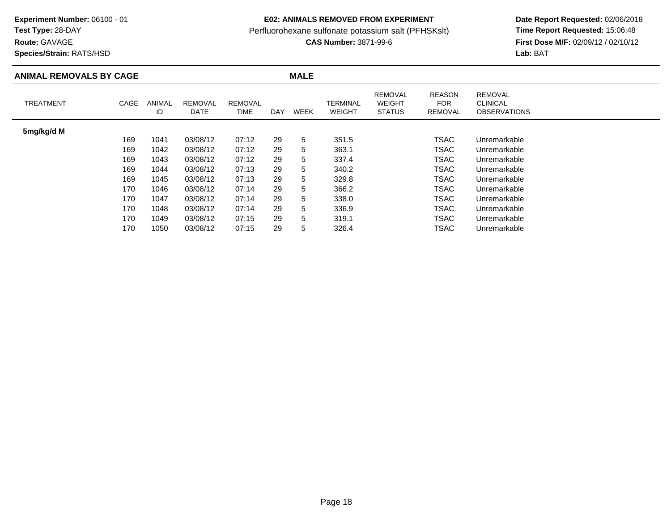**Route:** GAVAGE

**Species/Strain:** RATS/HSD

## **E02: ANIMALS REMOVED FROM EXPERIMENT**

Perfluorohexane sulfonate potassium salt (PFHSKslt)<br>**CAS Number:** 3871-99-6

| <b>ANIMAL REMOVALS BY CAGE</b> |      |              |                               |                        |            | <b>MALE</b> |                           |                                                  |                                        |                                                          |  |
|--------------------------------|------|--------------|-------------------------------|------------------------|------------|-------------|---------------------------|--------------------------------------------------|----------------------------------------|----------------------------------------------------------|--|
| <b>TREATMENT</b>               | CAGE | ANIMAL<br>ID | <b>REMOVAL</b><br><b>DATE</b> | <b>REMOVAL</b><br>TIME | <b>DAY</b> | WEEK        | TERMINAL<br><b>WEIGHT</b> | <b>REMOVAL</b><br><b>WEIGHT</b><br><b>STATUS</b> | <b>REASON</b><br><b>FOR</b><br>REMOVAL | <b>REMOVAL</b><br><b>CLINICAL</b><br><b>OBSERVATIONS</b> |  |
| 5mg/kg/d M                     |      |              |                               |                        |            |             |                           |                                                  |                                        |                                                          |  |
|                                | 169  | 1041         | 03/08/12                      | 07:12                  | 29         | 5           | 351.5                     |                                                  | TSAC                                   | Unremarkable                                             |  |
|                                | 169  | 1042         | 03/08/12                      | 07:12                  | 29         | 5           | 363.1                     |                                                  | TSAC                                   | Unremarkable                                             |  |
|                                | 169  | 1043         | 03/08/12                      | 07:12                  | 29         | 5           | 337.4                     |                                                  | TSAC                                   | Unremarkable                                             |  |
|                                | 169  | 1044         | 03/08/12                      | 07:13                  | 29         | 5           | 340.2                     |                                                  | <b>TSAC</b>                            | Unremarkable                                             |  |
|                                | 169  | 1045         | 03/08/12                      | 07:13                  | 29         | 5           | 329.8                     |                                                  | <b>TSAC</b>                            | Unremarkable                                             |  |
|                                | 170  | 1046         | 03/08/12                      | 07:14                  | 29         | 5           | 366.2                     |                                                  | TSAC                                   | Unremarkable                                             |  |
|                                | 170  | 1047         | 03/08/12                      | 07:14                  | 29         | 5           | 338.0                     |                                                  | TSAC                                   | Unremarkable                                             |  |
|                                | 170  | 1048         | 03/08/12                      | 07:14                  | 29         | 5           | 336.9                     |                                                  | <b>TSAC</b>                            | Unremarkable                                             |  |
|                                | 170  | 1049         | 03/08/12                      | 07:15                  | 29         | 5           | 319.1                     |                                                  | TSAC                                   | Unremarkable                                             |  |
|                                | 170  | 1050         | 03/08/12                      | 07:15                  | 29         | 5           | 326.4                     |                                                  | TSAC                                   | Unremarkable                                             |  |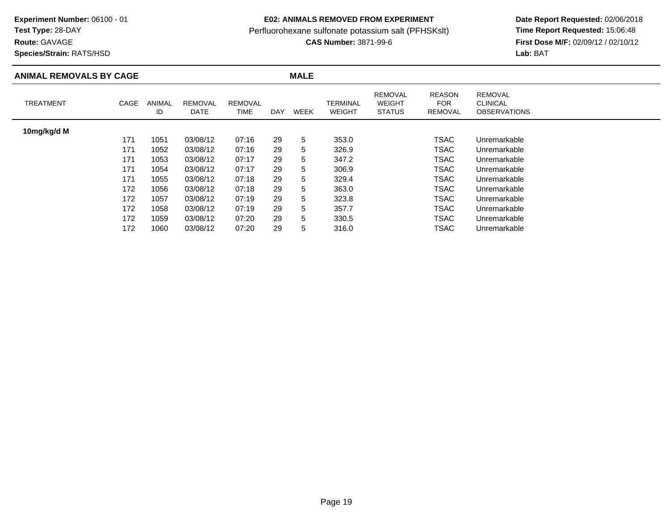**Test Type:** 28-DAY

**Route:** GAVAGE

**Species/Strain:** RATS/HSD

## **E02: ANIMALS REMOVED FROM EXPERIMENT**

Perfluorohexane sulfonate potassium salt (PFHSKslt)<br>**CAS Number:** 3871-99-6

| <b>ANIMAL REMOVALS BY CAGE</b> |      |              |                        |                               |     | <b>MALE</b> |                           |                                                  |                                               |                                                          |
|--------------------------------|------|--------------|------------------------|-------------------------------|-----|-------------|---------------------------|--------------------------------------------------|-----------------------------------------------|----------------------------------------------------------|
| <b>TREATMENT</b>               | CAGE | ANIMAL<br>ID | <b>REMOVAL</b><br>DATE | <b>REMOVAL</b><br><b>TIME</b> | DAY | WEEK        | TERMINAL<br><b>WEIGHT</b> | <b>REMOVAL</b><br><b>WEIGHT</b><br><b>STATUS</b> | <b>REASON</b><br><b>FOR</b><br><b>REMOVAL</b> | <b>REMOVAL</b><br><b>CLINICAL</b><br><b>OBSERVATIONS</b> |
| 10mg/kg/d M                    |      |              |                        |                               |     |             |                           |                                                  |                                               |                                                          |
|                                | 171  | 1051         | 03/08/12               | 07:16                         | 29  | 5           | 353.0                     |                                                  | <b>TSAC</b>                                   | Unremarkable                                             |
|                                | 171  | 1052         | 03/08/12               | 07:16                         | 29  | 5           | 326.9                     |                                                  | <b>TSAC</b>                                   | Unremarkable                                             |
|                                | 171  | 1053         | 03/08/12               | 07:17                         | 29  | 5           | 347.2                     |                                                  | TSAC                                          | Unremarkable                                             |
|                                | 171  | 1054         | 03/08/12               | 07:17                         | 29  | 5           | 306.9                     |                                                  | TSAC                                          | Unremarkable                                             |
|                                | 171  | 1055         | 03/08/12               | 07:18                         | 29  | 5           | 329.4                     |                                                  | TSAC                                          | Unremarkable                                             |
|                                | 172  | 1056         | 03/08/12               | 07:18                         | 29  | 5           | 363.0                     |                                                  | TSAC                                          | Unremarkable                                             |
|                                | 172  | 1057         | 03/08/12               | 07:19                         | 29  | 5           | 323.8                     |                                                  | TSAC                                          | Unremarkable                                             |
|                                | 172  | 1058         | 03/08/12               | 07:19                         | 29  | 5           | 357.7                     |                                                  | <b>TSAC</b>                                   | Unremarkable                                             |
|                                | 172  | 1059         | 03/08/12               | 07:20                         | 29  | 5           | 330.5                     |                                                  | <b>TSAC</b>                                   | Unremarkable                                             |
|                                | 172  | 1060         | 03/08/12               | 07:20                         | 29  | 5           | 316.0                     |                                                  | TSAC                                          | Unremarkable                                             |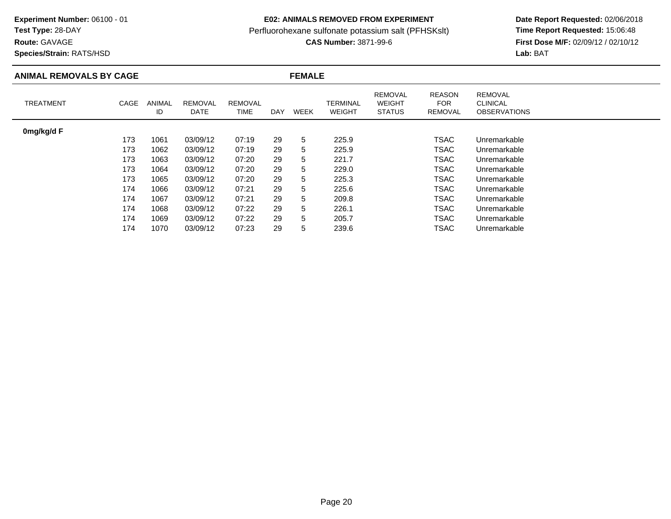# **Test Type:** 28-DAY

**Route:** GAVAGE

**Species/Strain:** RATS/HSD

## **E02: ANIMALS REMOVED FROM EXPERIMENT**

Perfluorohexane sulfonate potassium salt (PFHSKslt)<br>**CAS Number:** 3871-99-6

| <b>ANIMAL REMOVALS BY CAGE</b> |      |              |                               | <b>FEMALE</b>          |            |             |                           |                                                  |                                        |                                                          |
|--------------------------------|------|--------------|-------------------------------|------------------------|------------|-------------|---------------------------|--------------------------------------------------|----------------------------------------|----------------------------------------------------------|
| <b>TREATMENT</b>               | CAGE | ANIMAL<br>ID | <b>REMOVAL</b><br><b>DATE</b> | <b>REMOVAL</b><br>TIME | <b>DAY</b> | <b>WEEK</b> | TERMINAL<br><b>WEIGHT</b> | <b>REMOVAL</b><br><b>WEIGHT</b><br><b>STATUS</b> | <b>REASON</b><br><b>FOR</b><br>REMOVAL | <b>REMOVAL</b><br><b>CLINICAL</b><br><b>OBSERVATIONS</b> |
| 0mg/kg/d F                     |      |              |                               |                        |            |             |                           |                                                  |                                        |                                                          |
|                                | 173  | 1061         | 03/09/12                      | 07:19                  | 29         | 5           | 225.9                     |                                                  | TSAC                                   | Unremarkable                                             |
|                                | 173  | 1062         | 03/09/12                      | 07:19                  | 29         | 5           | 225.9                     |                                                  | TSAC                                   | Unremarkable                                             |
|                                | 173  | 1063         | 03/09/12                      | 07:20                  | 29         | 5           | 221.7                     |                                                  | TSAC                                   | Unremarkable                                             |
|                                | 173  | 1064         | 03/09/12                      | 07:20                  | 29         | 5           | 229.0                     |                                                  | <b>TSAC</b>                            | Unremarkable                                             |
|                                | 173  | 1065         | 03/09/12                      | 07:20                  | 29         | 5           | 225.3                     |                                                  | <b>TSAC</b>                            | Unremarkable                                             |
|                                | 174  | 1066         | 03/09/12                      | 07:21                  | 29         | 5           | 225.6                     |                                                  | TSAC                                   | Unremarkable                                             |
|                                | 174  | 1067         | 03/09/12                      | 07:21                  | 29         | 5           | 209.8                     |                                                  | TSAC                                   | Unremarkable                                             |
|                                | 174  | 1068         | 03/09/12                      | 07:22                  | 29         | 5           | 226.1                     |                                                  | <b>TSAC</b>                            | Unremarkable                                             |
|                                | 174  | 1069         | 03/09/12                      | 07:22                  | 29         | 5           | 205.7                     |                                                  | TSAC                                   | Unremarkable                                             |
|                                | 174  | 1070         | 03/09/12                      | 07:23                  | 29         | 5           | 239.6                     |                                                  | TSAC                                   | Unremarkable                                             |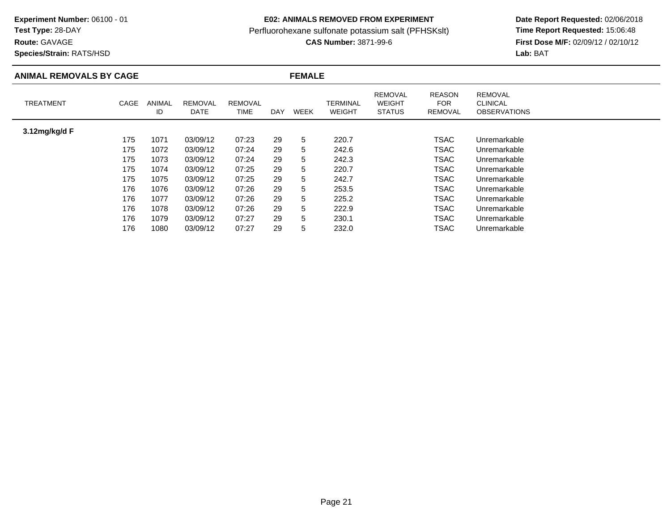**Test Type:** 28-DAY

**Route:** GAVAGE

**Species/Strain:** RATS/HSD

## **E02: ANIMALS REMOVED FROM EXPERIMENT**

Perfluorohexane sulfonate potassium salt (PFHSKslt)<br>**CAS Number:** 3871-99-6

| <b>ANIMAL REMOVALS BY CAGE</b> |      |              |                        |                        |            | <b>FEMALE</b> |                                  |                                                  |                                        |                                                          |  |  |  |
|--------------------------------|------|--------------|------------------------|------------------------|------------|---------------|----------------------------------|--------------------------------------------------|----------------------------------------|----------------------------------------------------------|--|--|--|
| <b>TREATMENT</b>               | CAGE | ANIMAL<br>ID | <b>REMOVAL</b><br>DATE | <b>REMOVAL</b><br>TIME | <b>DAY</b> | <b>WEEK</b>   | <b>TERMINAL</b><br><b>WEIGHT</b> | <b>REMOVAL</b><br><b>WEIGHT</b><br><b>STATUS</b> | <b>REASON</b><br><b>FOR</b><br>REMOVAL | <b>REMOVAL</b><br><b>CLINICAL</b><br><b>OBSERVATIONS</b> |  |  |  |
| 3.12mg/kg/d F                  |      |              |                        |                        |            |               |                                  |                                                  |                                        |                                                          |  |  |  |
|                                | 175  | 1071         | 03/09/12               | 07:23                  | 29         | 5             | 220.7                            |                                                  | <b>TSAC</b>                            | Unremarkable                                             |  |  |  |
|                                | 175  | 1072         | 03/09/12               | 07:24                  | 29         | 5             | 242.6                            |                                                  | TSAC                                   | Unremarkable                                             |  |  |  |
|                                | 175  | 1073         | 03/09/12               | 07:24                  | 29         | 5             | 242.3                            |                                                  | TSAC                                   | Unremarkable                                             |  |  |  |
|                                | 175  | 1074         | 03/09/12               | 07:25                  | 29         | 5             | 220.7                            |                                                  | <b>TSAC</b>                            | Unremarkable                                             |  |  |  |
|                                | 175  | 1075         | 03/09/12               | 07:25                  | 29         | 5             | 242.7                            |                                                  | TSAC                                   | Unremarkable                                             |  |  |  |
|                                | 176  | 1076         | 03/09/12               | 07:26                  | 29         | 5             | 253.5                            |                                                  | <b>TSAC</b>                            | Unremarkable                                             |  |  |  |
|                                | 176  | 1077         | 03/09/12               | 07:26                  | 29         | 5             | 225.2                            |                                                  | <b>TSAC</b>                            | Unremarkable                                             |  |  |  |
|                                | 176  | 1078         | 03/09/12               | 07:26                  | 29         | 5             | 222.9                            |                                                  | <b>TSAC</b>                            | Unremarkable                                             |  |  |  |
|                                | 176  | 1079         | 03/09/12               | 07:27                  | 29         | 5             | 230.1                            |                                                  | TSAC                                   | Unremarkable                                             |  |  |  |
|                                | 176  | 1080         | 03/09/12               | 07:27                  | 29         | 5             | 232.0                            |                                                  | TSAC                                   | Unremarkable                                             |  |  |  |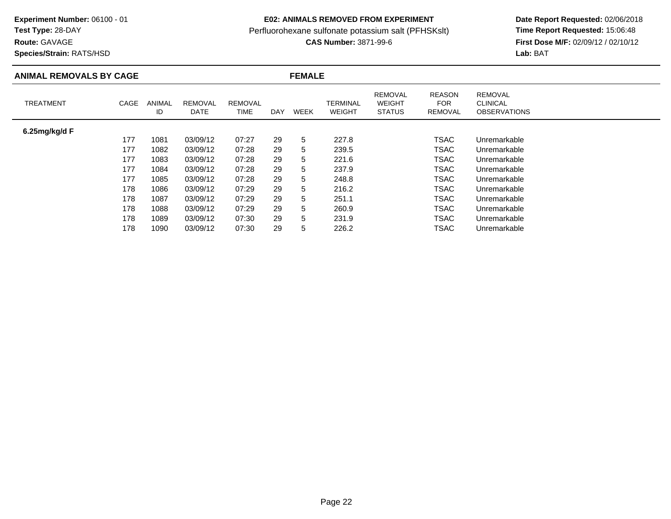**Test Type:** 28-DAY

## **Route:** GAVAGE

**Species/Strain:** RATS/HSD

## **E02: ANIMALS REMOVED FROM EXPERIMENT**

Perfluorohexane sulfonate potassium salt (PFHSKslt)<br>**CAS Number:** 3871-99-6

| <b>ANIMAL REMOVALS BY CAGE</b> |      |              | <b>FEMALE</b>          |                               |     |      |                           |                                                  |                                               |                                                          |  |
|--------------------------------|------|--------------|------------------------|-------------------------------|-----|------|---------------------------|--------------------------------------------------|-----------------------------------------------|----------------------------------------------------------|--|
| <b>TREATMENT</b>               | CAGE | ANIMAL<br>ID | <b>REMOVAL</b><br>DATE | <b>REMOVAL</b><br><b>TIME</b> | DAY | WEEK | TERMINAL<br><b>WEIGHT</b> | <b>REMOVAL</b><br><b>WEIGHT</b><br><b>STATUS</b> | <b>REASON</b><br><b>FOR</b><br><b>REMOVAL</b> | <b>REMOVAL</b><br><b>CLINICAL</b><br><b>OBSERVATIONS</b> |  |
| 6.25mg/kg/d F                  |      |              |                        |                               |     |      |                           |                                                  |                                               |                                                          |  |
|                                | 177  | 1081         | 03/09/12               | 07:27                         | 29  | 5    | 227.8                     |                                                  | <b>TSAC</b>                                   | Unremarkable                                             |  |
|                                | 177  | 1082         | 03/09/12               | 07:28                         | 29  | 5    | 239.5                     |                                                  | <b>TSAC</b>                                   | Unremarkable                                             |  |
|                                | 177  | 1083         | 03/09/12               | 07:28                         | 29  | 5    | 221.6                     |                                                  | TSAC                                          | Unremarkable                                             |  |
|                                | 177  | 1084         | 03/09/12               | 07:28                         | 29  | 5    | 237.9                     |                                                  | TSAC                                          | Unremarkable                                             |  |
|                                | 177  | 1085         | 03/09/12               | 07:28                         | 29  | 5    | 248.8                     |                                                  | TSAC                                          | Unremarkable                                             |  |
|                                | 178  | 1086         | 03/09/12               | 07:29                         | 29  | 5    | 216.2                     |                                                  | TSAC                                          | Unremarkable                                             |  |
|                                | 178  | 1087         | 03/09/12               | 07:29                         | 29  | 5    | 251.1                     |                                                  | TSAC                                          | Unremarkable                                             |  |
|                                | 178  | 1088         | 03/09/12               | 07:29                         | 29  | 5    | 260.9                     |                                                  | <b>TSAC</b>                                   | Unremarkable                                             |  |
|                                | 178  | 1089         | 03/09/12               | 07:30                         | 29  | 5    | 231.9                     |                                                  | <b>TSAC</b>                                   | Unremarkable                                             |  |
|                                | 178  | 1090         | 03/09/12               | 07:30                         | 29  | 5    | 226.2                     |                                                  | TSAC                                          | Unremarkable                                             |  |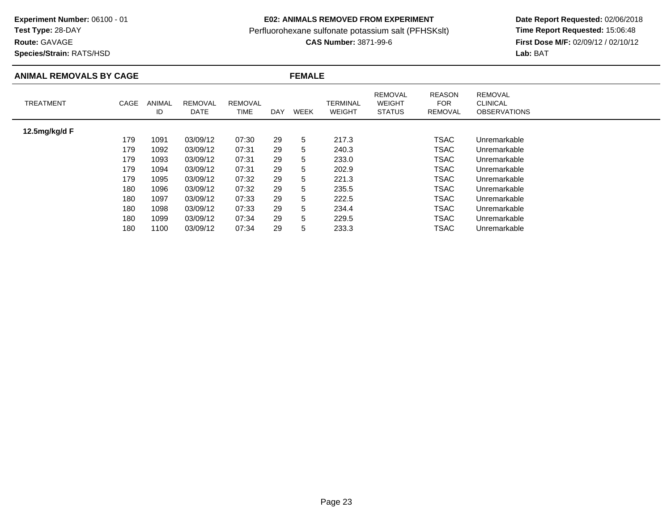**Test Type:** 28-DAY

**Route:** GAVAGE

**Species/Strain:** RATS/HSD

## **E02: ANIMALS REMOVED FROM EXPERIMENT**

Perfluorohexane sulfonate potassium salt (PFHSKslt)<br>**CAS Number:** 3871-99-6

| <b>ANIMAL REMOVALS BY CAGE</b> |      |              |                        |                        | <b>FEMALE</b> |             |                                  |                                                  |                                        |                                                          |  |
|--------------------------------|------|--------------|------------------------|------------------------|---------------|-------------|----------------------------------|--------------------------------------------------|----------------------------------------|----------------------------------------------------------|--|
| <b>TREATMENT</b>               | CAGE | ANIMAL<br>ID | <b>REMOVAL</b><br>DATE | <b>REMOVAL</b><br>TIME | <b>DAY</b>    | <b>WEEK</b> | <b>TERMINAL</b><br><b>WEIGHT</b> | <b>REMOVAL</b><br><b>WEIGHT</b><br><b>STATUS</b> | <b>REASON</b><br><b>FOR</b><br>REMOVAL | <b>REMOVAL</b><br><b>CLINICAL</b><br><b>OBSERVATIONS</b> |  |
| 12.5mg/kg/d F                  |      |              |                        |                        |               |             |                                  |                                                  |                                        |                                                          |  |
|                                | 179  | 1091         | 03/09/12               | 07:30                  | 29            | 5           | 217.3                            |                                                  | <b>TSAC</b>                            | Unremarkable                                             |  |
|                                | 179  | 1092         | 03/09/12               | 07:31                  | 29            | 5           | 240.3                            |                                                  | TSAC                                   | Unremarkable                                             |  |
|                                | 179  | 1093         | 03/09/12               | 07:31                  | 29            | 5           | 233.0                            |                                                  | TSAC                                   | Unremarkable                                             |  |
|                                | 179  | 1094         | 03/09/12               | 07:31                  | 29            | 5           | 202.9                            |                                                  | <b>TSAC</b>                            | Unremarkable                                             |  |
|                                | 179  | 1095         | 03/09/12               | 07:32                  | 29            | 5           | 221.3                            |                                                  | TSAC                                   | Unremarkable                                             |  |
|                                | 180  | 1096         | 03/09/12               | 07:32                  | 29            | 5           | 235.5                            |                                                  | <b>TSAC</b>                            | Unremarkable                                             |  |
|                                | 180  | 1097         | 03/09/12               | 07:33                  | 29            | 5           | 222.5                            |                                                  | <b>TSAC</b>                            | Unremarkable                                             |  |
|                                | 180  | 1098         | 03/09/12               | 07:33                  | 29            | 5           | 234.4                            |                                                  | <b>TSAC</b>                            | Unremarkable                                             |  |
|                                | 180  | 1099         | 03/09/12               | 07:34                  | 29            | 5           | 229.5                            |                                                  | TSAC                                   | Unremarkable                                             |  |
|                                | 180  | 1100         | 03/09/12               | 07:34                  | 29            | 5           | 233.3                            |                                                  | TSAC                                   | Unremarkable                                             |  |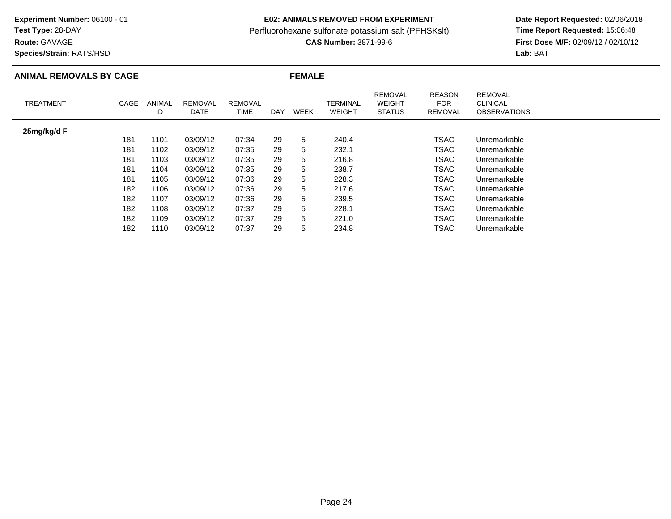# **Test Type:** 28-DAY

**Route:** GAVAGE

**Species/Strain:** RATS/HSD

## **E02: ANIMALS REMOVED FROM EXPERIMENT**

Perfluorohexane sulfonate potassium salt (PFHSKslt)<br>**CAS Number:** 3871-99-6

| <b>ANIMAL REMOVALS BY CAGE</b> |      |              |                        |                               | <b>FEMALE</b> |      |                           |                                                  |                                               |                                                          |  |
|--------------------------------|------|--------------|------------------------|-------------------------------|---------------|------|---------------------------|--------------------------------------------------|-----------------------------------------------|----------------------------------------------------------|--|
| <b>TREATMENT</b>               | CAGE | ANIMAL<br>ID | <b>REMOVAL</b><br>DATE | <b>REMOVAL</b><br><b>TIME</b> | DAY           | WEEK | TERMINAL<br><b>WEIGHT</b> | <b>REMOVAL</b><br><b>WEIGHT</b><br><b>STATUS</b> | <b>REASON</b><br><b>FOR</b><br><b>REMOVAL</b> | <b>REMOVAL</b><br><b>CLINICAL</b><br><b>OBSERVATIONS</b> |  |
| 25mg/kg/d F                    |      |              |                        |                               |               |      |                           |                                                  |                                               |                                                          |  |
|                                | 181  | 1101         | 03/09/12               | 07:34                         | 29            | 5    | 240.4                     |                                                  | <b>TSAC</b>                                   | Unremarkable                                             |  |
|                                | 181  | 1102         | 03/09/12               | 07:35                         | 29            | 5    | 232.1                     |                                                  | <b>TSAC</b>                                   | Unremarkable                                             |  |
|                                | 181  | 1103         | 03/09/12               | 07:35                         | 29            | 5    | 216.8                     |                                                  | TSAC                                          | Unremarkable                                             |  |
|                                | 181  | 1104         | 03/09/12               | 07:35                         | 29            | 5    | 238.7                     |                                                  | TSAC                                          | Unremarkable                                             |  |
|                                | 181  | 1105         | 03/09/12               | 07:36                         | 29            | 5    | 228.3                     |                                                  | TSAC                                          | Unremarkable                                             |  |
|                                | 182  | 1106         | 03/09/12               | 07:36                         | 29            | 5    | 217.6                     |                                                  | TSAC                                          | Unremarkable                                             |  |
|                                | 182  | 1107         | 03/09/12               | 07:36                         | 29            | 5    | 239.5                     |                                                  | TSAC                                          | Unremarkable                                             |  |
|                                | 182  | 1108         | 03/09/12               | 07:37                         | 29            | 5    | 228.1                     |                                                  | <b>TSAC</b>                                   | Unremarkable                                             |  |
|                                | 182  | 1109         | 03/09/12               | 07:37                         | 29            | 5    | 221.0                     |                                                  | <b>TSAC</b>                                   | Unremarkable                                             |  |
|                                | 182  | 1110         | 03/09/12               | 07:37                         | 29            | 5    | 234.8                     |                                                  | TSAC                                          | Unremarkable                                             |  |